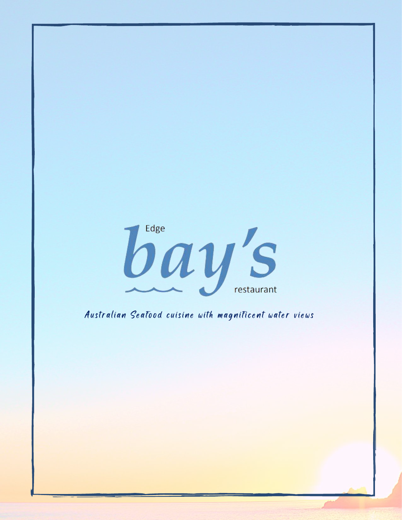

Australian Seafood cuisine with magnificent water views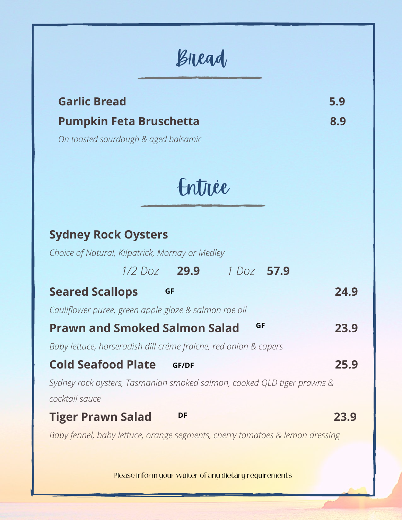### Bread

### **Garlic Bread 5.9**

### **Pumpkin Feta Bruschetta 8.9**

*On toasted sourdough & aged balsamic*

Entrée

| <b>Sydney Rock Oysters</b>                                                   |      |
|------------------------------------------------------------------------------|------|
| Choice of Natural, Kilpatrick, Mornay or Medley                              |      |
| $1/2$ Doz <b>29.9</b><br>1 Doz 57.9                                          |      |
| <b>Seared Scallops</b><br><b>GF</b>                                          | 24.9 |
| Cauliflower puree, green apple glaze & salmon roe oil                        |      |
| <b>GF</b><br><b>Prawn and Smoked Salmon Salad</b>                            | 23.9 |
| Baby lettuce, horseradish dill créme fraiche, red onion & capers             |      |
| <b>Cold Seafood Plate</b><br><b>GF/DF</b>                                    | 25.9 |
| Sydney rock oysters, Tasmanian smoked salmon, cooked QLD tiger prawns &      |      |
| cocktail sauce                                                               |      |
| DF<br><b>Tiger Prawn Salad</b>                                               | 23.9 |
| Baby fennel, baby lettuce, orange segments, cherry tomatoes & lemon dressing |      |
|                                                                              |      |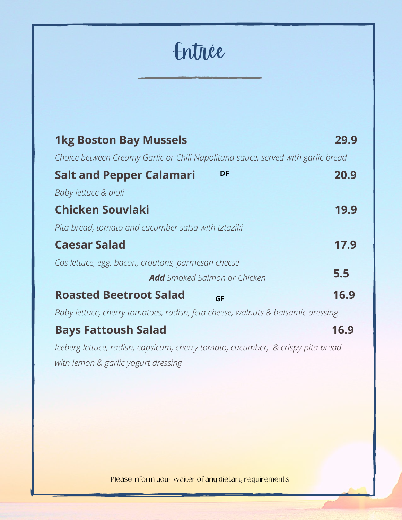Entrée

| <b>1kg Boston Bay Mussels</b>                                                    | 29.9 |
|----------------------------------------------------------------------------------|------|
| Choice between Creamy Garlic or Chili Napolitana sauce, served with garlic bread |      |
| DF<br><b>Salt and Pepper Calamari</b>                                            | 20.9 |
| Baby lettuce & aioli                                                             |      |
| <b>Chicken Souvlaki</b>                                                          | 19.9 |
| Pita bread, tomato and cucumber salsa with tztaziki                              |      |
| <b>Caesar Salad</b>                                                              | 17.9 |
| Cos lettuce, egg, bacon, croutons, parmesan cheese                               |      |
| <b>Add</b> Smoked Salmon or Chicken                                              | 5.5  |
| <b>Roasted Beetroot Salad</b><br><b>GF</b>                                       | 16.9 |
| Baby lettuce, cherry tomatoes, radish, feta cheese, walnuts & balsamic dressing  |      |
| <b>Bays Fattoush Salad</b>                                                       | 16.9 |
| Iceberg lettuce, radish, capsicum, cherry tomato, cucumber, & crispy pita bread  |      |
| with lemon & garlic yogurt dressing                                              |      |
|                                                                                  |      |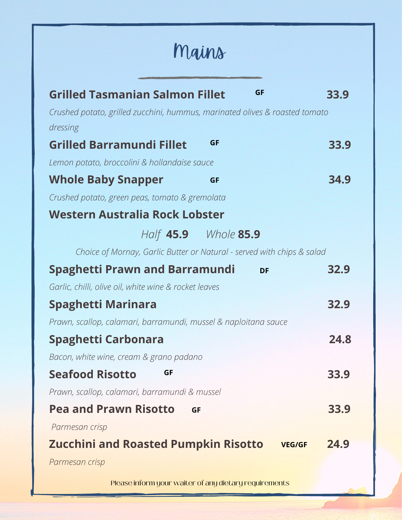## Mains

| <b>GF</b><br><b>Grilled Tasmanian Salmon Fillet</b>                                     | 33.9 |
|-----------------------------------------------------------------------------------------|------|
|                                                                                         |      |
| Crushed potato, grilled zucchini, hummus, marinated olives & roasted tomato<br>dressing |      |
| GF<br><b>Grilled Barramundi Fillet</b>                                                  | 33.9 |
|                                                                                         |      |
| Lemon potato, broccolini & hollandaise sauce                                            |      |
| <b>Whole Baby Snapper</b><br><b>GF</b>                                                  | 34.9 |
| Crushed potato, green peas, tomato & gremolata                                          |      |
| Western Australia Rock Lobster                                                          |      |
| Half 45.9 Whole 85.9                                                                    |      |
| Choice of Mornay, Garlic Butter or Natural - served with chips & salad                  |      |
| <b>Spaghetti Prawn and Barramundi</b><br><b>DF</b>                                      | 32.9 |
| Garlic, chilli, olive oil, white wine & rocket leaves                                   |      |
| <b>Spaghetti Marinara</b>                                                               | 32.9 |
| Prawn, scallop, calamari, barramundi, mussel & naploitana sauce                         |      |
| Spaghetti Carbonara                                                                     | 24.8 |
| Bacon, white wine, cream & grano padano                                                 |      |
| <b>Seafood Risotto</b><br><b>GF</b>                                                     | 33.9 |
| Prawn, scallop, calamari, barramundi & mussel                                           |      |
| <b>Pea and Prawn Risotto</b><br><b>GF</b>                                               | 33.9 |
| Parmesan crisp                                                                          |      |
| <b>Zucchini and Roasted Pumpkin Risotto</b><br><b>VEG/GF</b>                            | 24.9 |
| Parmesan crisp                                                                          |      |
|                                                                                         |      |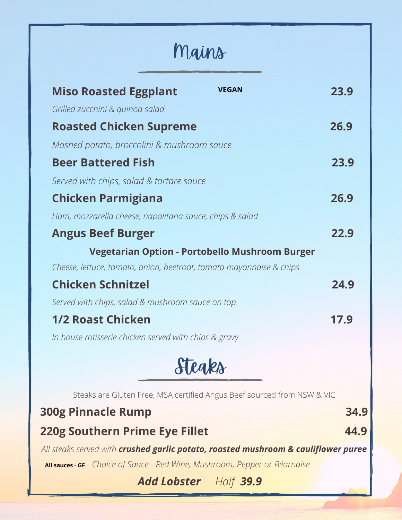# Mains

| <b>VEGAN</b><br><b>Miso Roasted Eggplant</b>                                       | 23.9 |
|------------------------------------------------------------------------------------|------|
| Grilled zucchini & quinoa salad                                                    |      |
| <b>Roasted Chicken Supreme</b>                                                     | 26.9 |
| Mashed potato, broccolini & mushroom sauce                                         |      |
| <b>Beer Battered Fish</b>                                                          | 23.9 |
| Served with chips, salad & tartare sauce                                           |      |
| <b>Chicken Parmigiana</b>                                                          | 26.9 |
| Ham, mozzarella cheese, napolitana sauce, chips & salad                            |      |
| <b>Angus Beef Burger</b>                                                           | 22.9 |
| <b>Vegetarian Option - Portobello Mushroom Burger</b>                              |      |
| Cheese, lettuce, tomato, onion, beetroot, tomato mayonnaise & chips                |      |
| <b>Chicken Schnitzel</b>                                                           | 24.9 |
| Served with chips, salad & mushroom sauce on top                                   |      |
| <b>1/2 Roast Chicken</b>                                                           | 17.9 |
| In house rotisserie chicken served with chips & gravy                              |      |
| Stegks                                                                             |      |
|                                                                                    |      |
| Steaks are Gluten Free, MSA certified Angus Beef sourced from NSW & VIC            |      |
| <b>300g Pinnacle Rump</b>                                                          | 34.9 |
| <b>220g Southern Prime Eye Fillet</b>                                              | 44.9 |
| All steaks served with crushed garlic potato, roasted mushroom & cauliflower puree |      |
| All sauces - GF Choice of Sauce - Red Wine, Mushroom, Pepper or Béarnaise          |      |
| <b>Add Lobster</b> Half 39.9                                                       |      |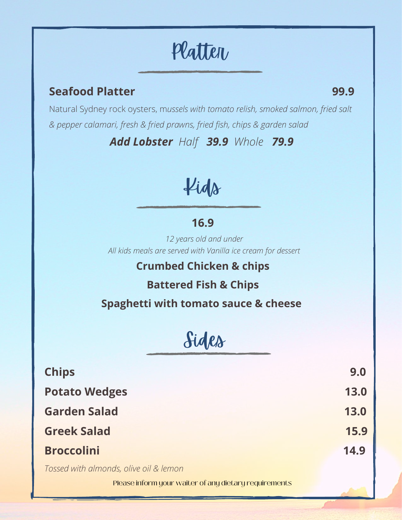# Platter

#### **Seafood Platter 99.9**

Natural Sydney rock oysters, m*ussels with tomato relish, smoked salmon, fried salt & pepper calamari, fresh & fried prawns, fried fish, chips & garden salad*

*Add Lobster Half 39.9 Whole 79.9*

Kids

### **16.9**

*12 years old and under All kids meals are served with Vanilla ice cream for dessert*

### **Crumbed Chicken & chips**

**Battered Fish & Chips**

**Spaghetti with tomato sauce & cheese**

Sides

| <b>Chips</b>         | 9.0  |
|----------------------|------|
| <b>Potato Wedges</b> | 13.0 |
| <b>Garden Salad</b>  | 13.0 |
| <b>Greek Salad</b>   | 15.9 |
| <b>Broccolini</b>    | 14.9 |
|                      |      |

*Tossed with almonds, olive oil & lemon*